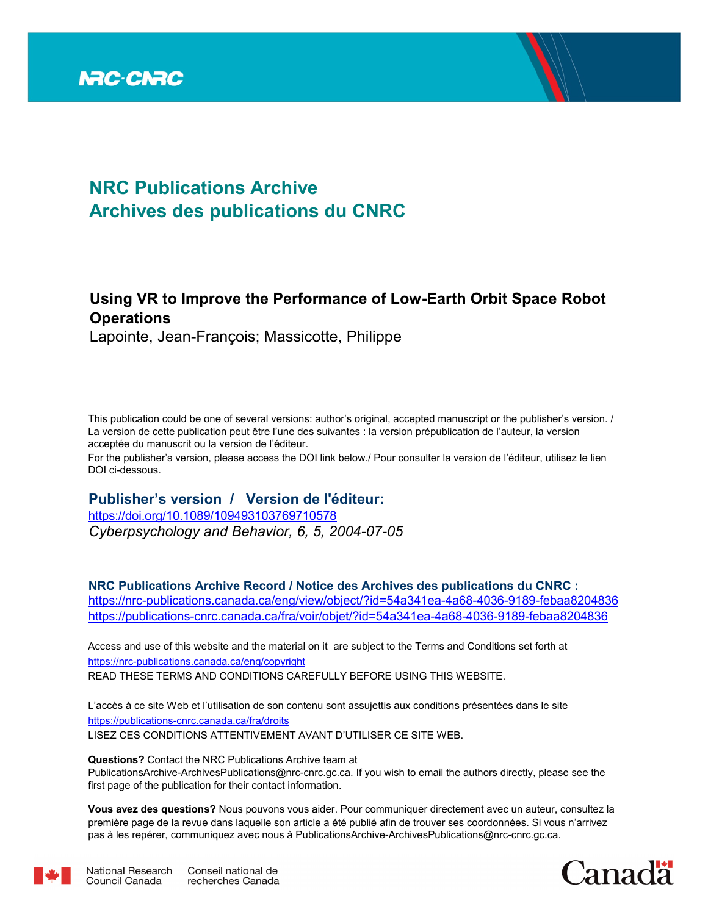

# **NRC Publications Archive Archives des publications du CNRC**

### **Using VR to Improve the Performance of Low-Earth Orbit Space Robot Operations**

Lapointe, Jean-François; Massicotte, Philippe

This publication could be one of several versions: author's original, accepted manuscript or the publisher's version. / La version de cette publication peut être l'une des suivantes : la version prépublication de l'auteur, la version acceptée du manuscrit ou la version de l'éditeur.

For the publisher's version, please access the DOI link below./ Pour consulter la version de l'éditeur, utilisez le lien DOI ci-dessous.

### **Publisher's version / Version de l'éditeur:**

*Cyberpsychology and Behavior, 6, 5, 2004-07-05* https://doi.org/10.1089/109493103769710578

**NRC Publications Archive Record / Notice des Archives des publications du CNRC :** https://nrc-publications.canada.ca/eng/view/object/?id=54a341ea-4a68-4036-9189-febaa8204836

https://publications-cnrc.canada.ca/fra/voir/objet/?id=54a341ea-4a68-4036-9189-febaa8204836

READ THESE TERMS AND CONDITIONS CAREFULLY BEFORE USING THIS WEBSITE. https://nrc-publications.canada.ca/eng/copyright Access and use of this website and the material on it are subject to the Terms and Conditions set forth at

https://publications-cnrc.canada.ca/fra/droits L'accès à ce site Web et l'utilisation de son contenu sont assujettis aux conditions présentées dans le site LISEZ CES CONDITIONS ATTENTIVEMENT AVANT D'UTILISER CE SITE WEB.

#### **Questions?** Contact the NRC Publications Archive team at

PublicationsArchive-ArchivesPublications@nrc-cnrc.gc.ca. If you wish to email the authors directly, please see the first page of the publication for their contact information.

**Vous avez des questions?** Nous pouvons vous aider. Pour communiquer directement avec un auteur, consultez la première page de la revue dans laquelle son article a été publié afin de trouver ses coordonnées. Si vous n'arrivez pas à les repérer, communiquez avec nous à PublicationsArchive-ArchivesPublications@nrc-cnrc.gc.ca.





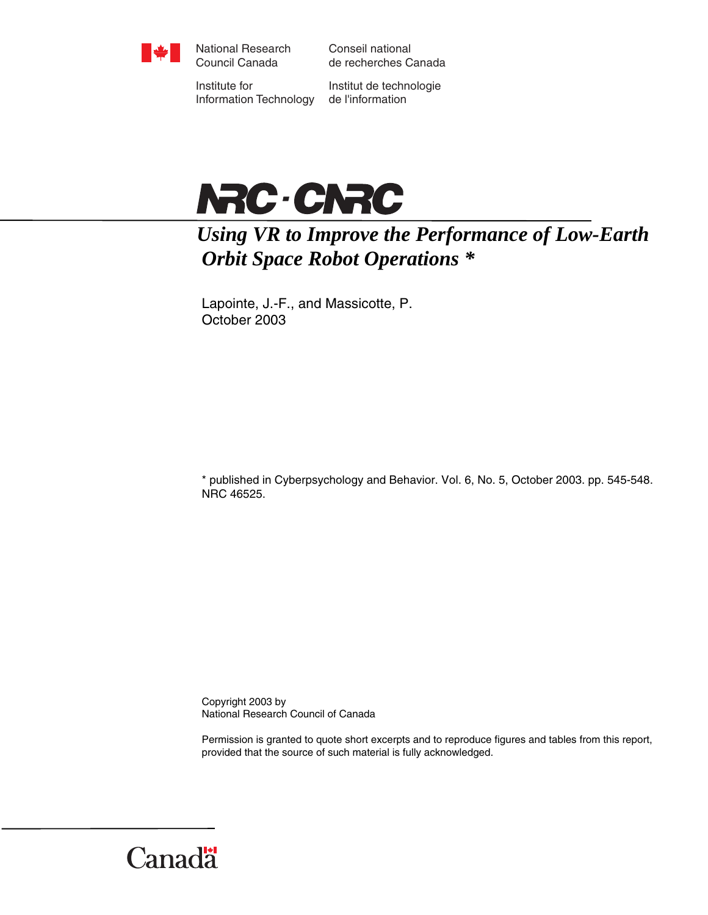

National Research Council Canada

Conseil national de recherches Canada

Institute for Information Technology

Institut de technologie de l'information



*Using VR to Improve the Performance of Low-Earth Orbit Space Robot Operations \** 

Lapointe, J.-F., and Massicotte, P. October 2003

\* published in Cyberpsychology and Behavior. Vol. 6, No. 5, October 2003. pp. 545-548. NRC 46525.

Copyright 2003 by National Research Council of Canada

Permission is granted to quote short excerpts and to reproduce figures and tables from this report, provided that the source of such material is fully acknowledged.

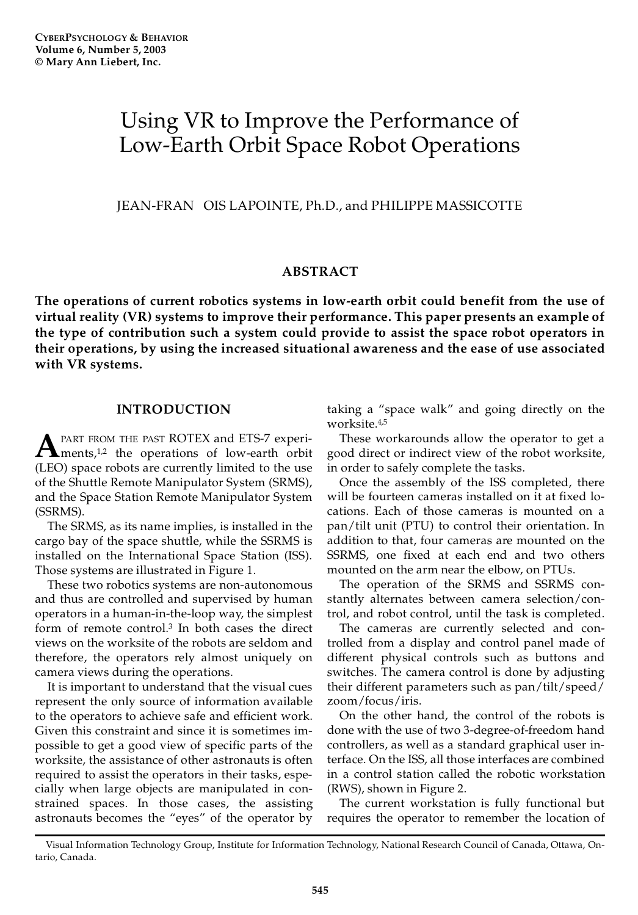# Using VR to Improve the Performance of Low-Earth Orbit Space Robot Operations

JEAN-FRAN OIS LAPOINTE, Ph.D., and PHILIPPE MASSICOTTE

#### **ABSTRACT**

**The operations of current robotics systems in low-earth orbit could benefit from the use of virtual reality (VR) systems to improve their performance. This paper presents an example of the type of contribution such a system could provide to assist the space robot operators in their operations, by using the increased situational awareness and the ease of use associated with VR systems.**

#### **INTRODUCTION**

**A** PART FROM THE PAST ROTEX and ETS-7 experiments,<sup>1,2</sup> the operations of low-earth orbit PART FROM THE PAST ROTEX and ETS-7 experi-(LEO) space robots are currently limited to the use of the Shuttle Remote Manipulator System (SRMS), and the Space Station Remote Manipulator System (SSRMS).

The SRMS, as its name implies, is installed in the cargo bay of the space shuttle, while the SSRMS is installed on the International Space Station (ISS). Those systems are illustrated in Figure 1.

These two robotics systems are non-autonomous and thus are controlled and supervised by human operators in a human-in-the-loop way, the simplest form of remote control.<sup>3</sup> In both cases the direct views on the worksite of the robots are seldom and therefore, the operators rely almost uniquely on camera views during the operations.

It is important to understand that the visual cues represent the only source of information available to the operators to achieve safe and efficient work. Given this constraint and since it is sometimes impossible to get a good view of specific parts of the worksite, the assistance of other astronauts is often required to assist the operators in their tasks, especially when large objects are manipulated in constrained spaces. In those cases, the assisting astronauts becomes the "eyes" of the operator by taking a "space walk" and going directly on the worksite.4,5

These workarounds allow the operator to get a good direct or indirect view of the robot worksite, in order to safely complete the tasks.

Once the assembly of the ISS completed, there will be fourteen cameras installed on it at fixed locations. Each of those cameras is mounted on a pan/tilt unit (PTU) to control their orientation. In addition to that, four cameras are mounted on the SSRMS, one fixed at each end and two others mounted on the arm near the elbow, on PTUs.

The operation of the SRMS and SSRMS constantly alternates between camera selection/control, and robot control, until the task is completed.

The cameras are currently selected and controlled from a display and control panel made of different physical controls such as buttons and switches. The camera control is done by adjusting their different parameters such as pan/tilt/speed/ zoom/focus/iris.

On the other hand, the control of the robots is done with the use of two 3-degree-of-freedom hand controllers, as well as a standard graphical user interface. On the ISS, all those interfaces are combined in a control station called the robotic workstation (RWS), shown in Figure 2.

The current workstation is fully functional but requires the operator to remember the location of

Visual Information Technology Group, Institute for Information Technology, National Research Council of Canada, Ottawa, Ontario, Canada.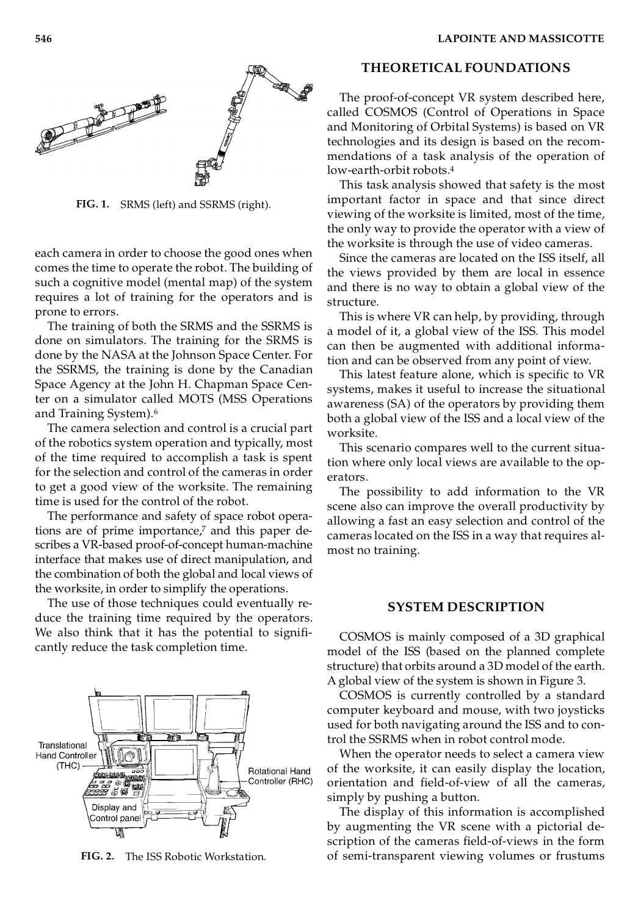

**FIG. 1.** SRMS (left) and SSRMS (right).

each camera in order to choose the good ones when comes the time to operate the robot. The building of such a cognitive model (mental map) of the system requires a lot of training for the operators and is prone to errors.

The training of both the SRMS and the SSRMS is done on simulators. The training for the SRMS is done by the NASA at the Johnson Space Center. For the SSRMS, the training is done by the Canadian Space Agency at the John H. Chapman Space Center on a simulator called MOTS (MSS Operations and Training System).<sup>6</sup>

The camera selection and control is a crucial part of the robotics system operation and typically, most of the time required to accomplish a task is spent for the selection and control of the cameras in order to get a good view of the worksite. The remaining time is used for the control of the robot.

The performance and safety of space robot operations are of prime importance,<sup>7</sup> and this paper describes a VR-based proof-of-concept human-machine interface that makes use of direct manipulation, and the combination of both the global and local views of the worksite, in order to simplify the operations.

The use of those techniques could eventually reduce the training time required by the operators. We also think that it has the potential to significantly reduce the task completion time.



**FIG. 2.** The ISS Robotic Workstation.

#### **THEORETICAL FOUNDATIONS**

The proof-of-concept VR system described here, called COSMOS (Control of Operations in Space and Monitoring of Orbital Systems) is based on VR technologies and its design is based on the recommendations of a task analysis of the operation of low-earth-orbit robots.<sup>4</sup>

This task analysis showed that safety is the most important factor in space and that since direct viewing of the worksite is limited, most of the time, the only way to provide the operator with a view of the worksite is through the use of video cameras.

Since the cameras are located on the ISS itself, all the views provided by them are local in essence and there is no way to obtain a global view of the structure.

This is where VR can help, by providing, through a model of it, a global view of the ISS. This model can then be augmented with additional information and can be observed from any point of view.

This latest feature alone, which is specific to VR systems, makes it useful to increase the situational awareness (SA) of the operators by providing them both a global view of the ISS and a local view of the worksite.

This scenario compares well to the current situation where only local views are available to the operators.

The possibility to add information to the VR scene also can improve the overall productivity by allowing a fast an easy selection and control of the cameras located on the ISS in a way that requires almost no training.

#### **SYSTEM DESCRIPTION**

COSMOS is mainly composed of a 3D graphical model of the ISS (based on the planned complete structure) that orbits around a 3D model of the earth. A global view of the system is shown in Figure 3.

COSMOS is currently controlled by a standard computer keyboard and mouse, with two joysticks used for both navigating around the ISS and to control the SSRMS when in robot control mode.

When the operator needs to select a camera view of the worksite, it can easily display the location, orientation and field-of-view of all the cameras, simply by pushing a button.

The display of this information is accomplished by augmenting the VR scene with a pictorial description of the cameras field-of-views in the form of semi-transparent viewing volumes or frustums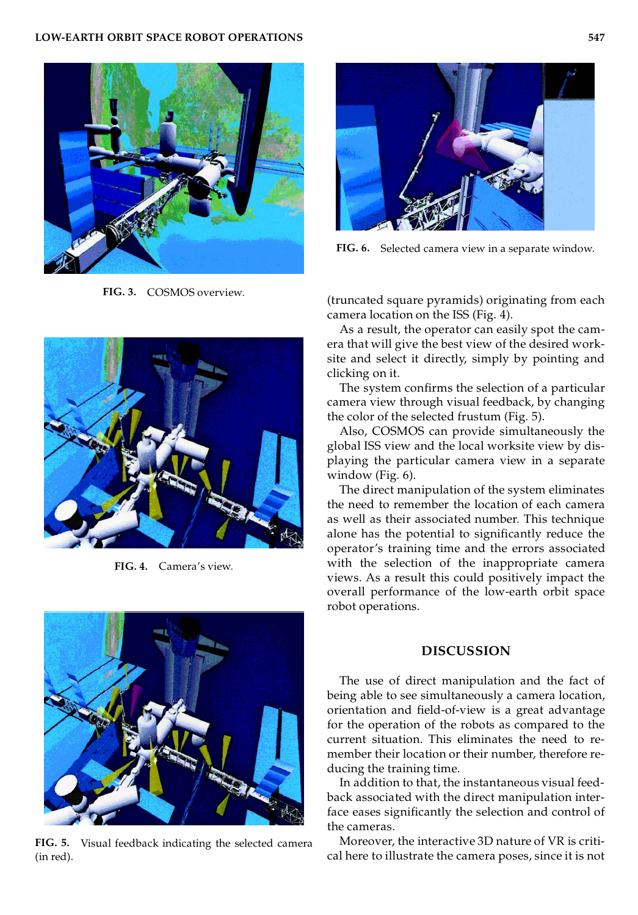



**FIG. 6.** Selected camera view in a separate window.

**FIG. 3.** COSMOS overview.



**FIG. 4.** Camera's view.



**FIG. 5.** Visual feedback indicating the selected camera (in red).

(truncated square pyramids) originating from each camera location on the ISS (Fig. 4).

As a result, the operator can easily spot the camera that will give the best view of the desired worksite and select it directly, simply by pointing and clicking on it.

The system confirms the selection of a particular camera view through visual feedback, by changing the color of the selected frustum (Fig. 5).

Also, COSMOS can provide simultaneously the global ISS view and the local worksite view by displaying the particular camera view in a separate window (Fig. 6).

The direct manipulation of the system eliminates the need to remember the location of each camera as well as their associated number. This technique alone has the potential to significantly reduce the operator's training time and the errors associated with the selection of the inappropriate camera views. As a result this could positively impact the overall performance of the low-earth orbit space robot operations.

#### **DISCUSSION**

The use of direct manipulation and the fact of being able to see simultaneously a camera location, orientation and field-of-view is a great advantage for the operation of the robots as compared to the current situation. This eliminates the need to remember their location or their number, therefore reducing the training time.

In addition to that, the instantaneous visual feedback associated with the direct manipulation interface eases significantly the selection and control of the cameras.

Moreover, the interactive 3D nature of VR is critical here to illustrate the camera poses, since it is not